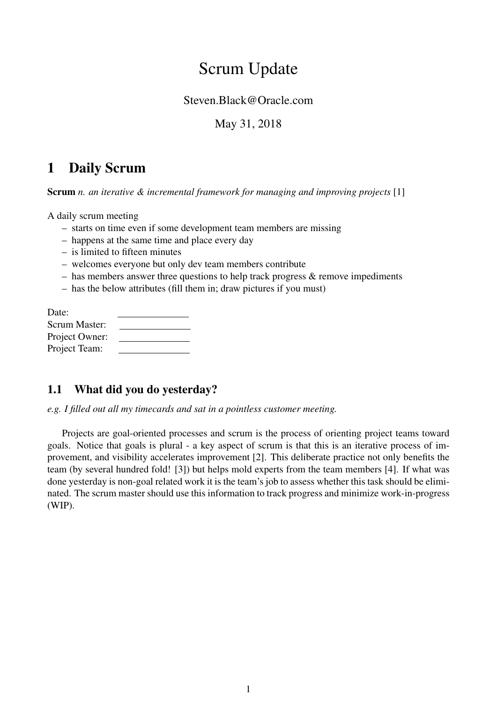# Scrum Update

#### Steven.Black@Oracle.com

### May 31, 2018

## 1 Daily Scrum

Scrum *n. an iterative & incremental framework for managing and improving projects* [1]

A daily scrum meeting

- starts on time even if some development team members are missing
- happens at the same time and place every day
- is limited to fifteen minutes
- welcomes everyone but only dev team members contribute
- $-$  has members answer three questions to help track progress  $\&$  remove impediments
- has the below attributes (fill them in; draw pictures if you must)

| Date:          |  |
|----------------|--|
| Scrum Master:  |  |
| Project Owner: |  |
| Project Team:  |  |

## 1.1 What did you do yesterday?

*e.g. I filled out all my timecards and sat in a pointless customer meeting.*

Projects are goal-oriented processes and scrum is the process of orienting project teams toward goals. Notice that goals is plural - a key aspect of scrum is that this is an iterative process of improvement, and visibility accelerates improvement [2]. This deliberate practice not only benefits the team (by several hundred fold! [3]) but helps mold experts from the team members [4]. If what was done yesterday is non-goal related work it is the team's job to assess whether this task should be eliminated. The scrum master should use this information to track progress and minimize work-in-progress (WIP).